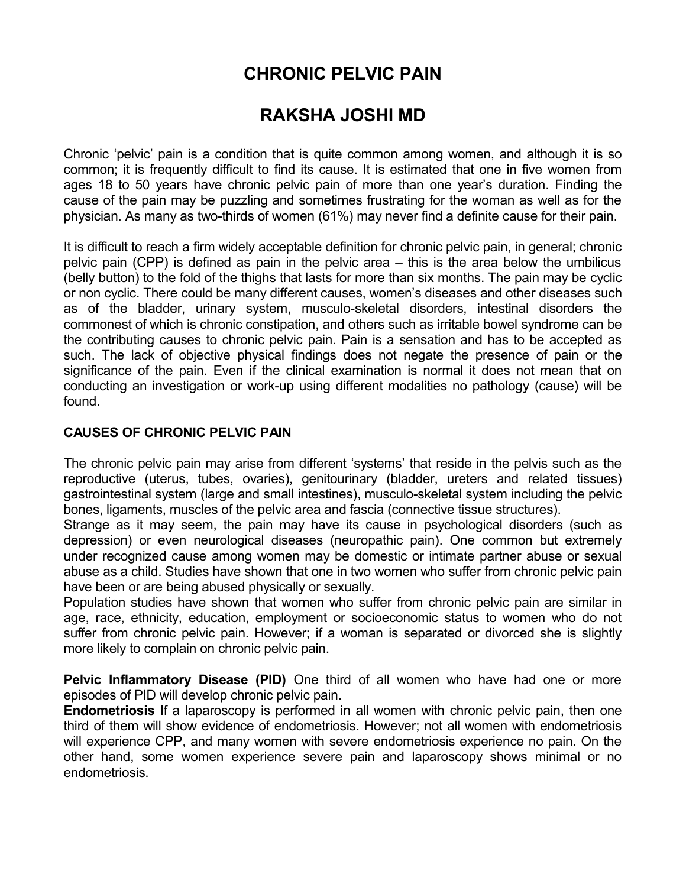# **CHRONIC PELVIC PAIN**

## **RAKSHA JOSHI MD**

Chronic 'pelvic' pain is a condition that is quite common among women, and although it is so common; it is frequently difficult to find its cause. It is estimated that one in five women from ages 18 to 50 years have chronic pelvic pain of more than one year's duration. Finding the cause of the pain may be puzzling and sometimes frustrating for the woman as well as for the physician. As many as two-thirds of women (61%) may never find a definite cause for their pain.

It is difficult to reach a firm widely acceptable definition for chronic pelvic pain, in general; chronic pelvic pain (CPP) is defined as pain in the pelvic area – this is the area below the umbilicus (belly button) to the fold of the thighs that lasts for more than six months. The pain may be cyclic or non cyclic. There could be many different causes, women's diseases and other diseases such as of the bladder, urinary system, musculo-skeletal disorders, intestinal disorders the commonest of which is chronic constipation, and others such as irritable bowel syndrome can be the contributing causes to chronic pelvic pain. Pain is a sensation and has to be accepted as such. The lack of objective physical findings does not negate the presence of pain or the significance of the pain. Even if the clinical examination is normal it does not mean that on conducting an investigation or work-up using different modalities no pathology (cause) will be found.

#### **CAUSES OF CHRONIC PELVIC PAIN**

The chronic pelvic pain may arise from different 'systems' that reside in the pelvis such as the reproductive (uterus, tubes, ovaries), genitourinary (bladder, ureters and related tissues) gastrointestinal system (large and small intestines), musculo-skeletal system including the pelvic bones, ligaments, muscles of the pelvic area and fascia (connective tissue structures).

Strange as it may seem, the pain may have its cause in psychological disorders (such as depression) or even neurological diseases (neuropathic pain). One common but extremely under recognized cause among women may be domestic or intimate partner abuse or sexual abuse as a child. Studies have shown that one in two women who suffer from chronic pelvic pain have been or are being abused physically or sexually.

Population studies have shown that women who suffer from chronic pelvic pain are similar in age, race, ethnicity, education, employment or socioeconomic status to women who do not suffer from chronic pelvic pain. However; if a woman is separated or divorced she is slightly more likely to complain on chronic pelvic pain.

**Pelvic Inflammatory Disease (PID)** One third of all women who have had one or more episodes of PID will develop chronic pelvic pain.

**Endometriosis** If a laparoscopy is performed in all women with chronic pelvic pain, then one third of them will show evidence of endometriosis. However; not all women with endometriosis will experience CPP, and many women with severe endometriosis experience no pain. On the other hand, some women experience severe pain and laparoscopy shows minimal or no endometriosis.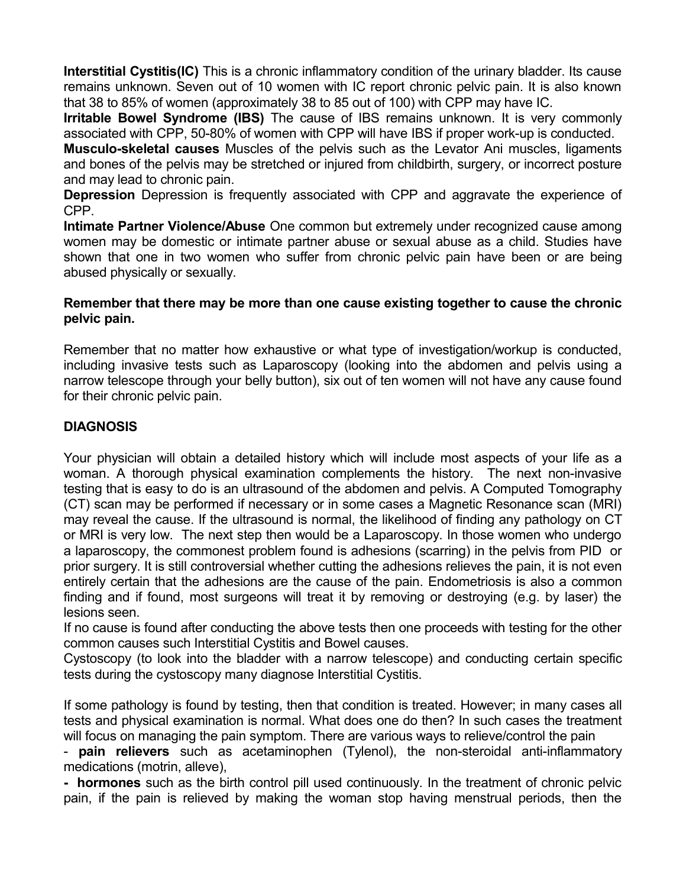**Interstitial Cystitis(IC)** This is a chronic inflammatory condition of the urinary bladder. Its cause remains unknown. Seven out of 10 women with IC report chronic pelvic pain. It is also known that 38 to 85% of women (approximately 38 to 85 out of 100) with CPP may have IC.

**Irritable Bowel Syndrome (IBS)** The cause of IBS remains unknown. It is very commonly associated with CPP, 50-80% of women with CPP will have IBS if proper work-up is conducted.

**Musculo-skeletal causes** Muscles of the pelvis such as the Levator Ani muscles, ligaments and bones of the pelvis may be stretched or injured from childbirth, surgery, or incorrect posture and may lead to chronic pain.

**Depression** Depression is frequently associated with CPP and aggravate the experience of CPP.

**Intimate Partner Violence/Abuse** One common but extremely under recognized cause among women may be domestic or intimate partner abuse or sexual abuse as a child. Studies have shown that one in two women who suffer from chronic pelvic pain have been or are being abused physically or sexually.

#### **Remember that there may be more than one cause existing together to cause the chronic pelvic pain.**

Remember that no matter how exhaustive or what type of investigation/workup is conducted, including invasive tests such as Laparoscopy (looking into the abdomen and pelvis using a narrow telescope through your belly button), six out of ten women will not have any cause found for their chronic pelvic pain.

### **DIAGNOSIS**

Your physician will obtain a detailed history which will include most aspects of your life as a woman. A thorough physical examination complements the history. The next non-invasive testing that is easy to do is an ultrasound of the abdomen and pelvis. A Computed Tomography (CT) scan may be performed if necessary or in some cases a Magnetic Resonance scan (MRI) may reveal the cause. If the ultrasound is normal, the likelihood of finding any pathology on CT or MRI is very low. The next step then would be a Laparoscopy. In those women who undergo a laparoscopy, the commonest problem found is adhesions (scarring) in the pelvis from PID or prior surgery. It is still controversial whether cutting the adhesions relieves the pain, it is not even entirely certain that the adhesions are the cause of the pain. Endometriosis is also a common finding and if found, most surgeons will treat it by removing or destroying (e.g. by laser) the lesions seen.

If no cause is found after conducting the above tests then one proceeds with testing for the other common causes such Interstitial Cystitis and Bowel causes.

Cystoscopy (to look into the bladder with a narrow telescope) and conducting certain specific tests during the cystoscopy many diagnose Interstitial Cystitis.

If some pathology is found by testing, then that condition is treated. However; in many cases all tests and physical examination is normal. What does one do then? In such cases the treatment will focus on managing the pain symptom. There are various ways to relieve/control the pain

- **pain relievers** such as acetaminophen (Tylenol), the non-steroidal anti-inflammatory medications (motrin, alleve),

**- hormones** such as the birth control pill used continuously. In the treatment of chronic pelvic pain, if the pain is relieved by making the woman stop having menstrual periods, then the